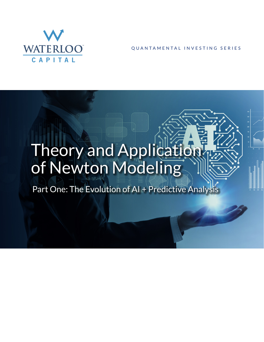

QUANTAMENTAL INVESTING SERIES

# Theory and Application of Newton Modeling

Part One: The Evolution of AI + Predictive Analysis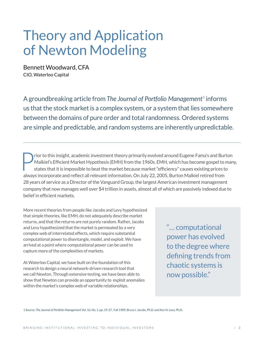# Theory and Application of Newton Modeling

Bennett Woodward, CFA CIO, Waterloo Capital

A groundbreaking article from The Journal of Portfolio Management<sup>1</sup> informs us that the stock market is a complex system, or a system that lies somewhere between the domains of pure order and total randomness. Ordered systems are simple and predictable, and random systems are inherently unpredictable.

Prior to this insight, academic investment theory primarily evolved around Eugene Fama's and Burton<br>Malkiel's Efficient Market Hypothesis (EMH) from the 1960s. EMH, which has become gospel to man<br>states that it is impossib Malkiel's Efficient Market Hypothesis (EMH) from the 1960s. EMH, which has become gospel to many, states that it is impossible to beat the market because market "efficiency" causes existing prices to always incorporate and reflect all relevant information. On July 22, 2005, Burton Malkiel retired from 28 years of service as a Director of the Vanguard Group, the largest American investment management company that now manages well over \$4 trillion in assets, almost all of which are passively indexed due to belief in efficient markets.

More recent theories from people like Jacobs and Levy hypothesized that simple theories, like EMH, do not adequately describe market returns, and that the returns are not purely random. Rather, Jacobs and Levy hypothesized that the market is permeated by a very complex web of interrelated effects, which require substantial computational power to disentangle, model, and exploit. We have arrived at a point where computational power can be used to capture more of the complexities of markets.

At Waterloo Capital, we have built on the foundation of this research to design a neural network-driven research tool that we call Newton. Through extensive testing, we have been able to show that Newton can provide an opportunity to exploit anomalies within the market's complex web of variable relationships.

"… computational power has evolved to the degree where defining trends from chaotic systems is now possible."

1 Source: *The Journal of Portfolio Management* Vol. 16, No. 1, pp. 19-27, Fall 1989, Bruce I. Jacobs, Ph.D. and Ken N. Levy, Ph.D.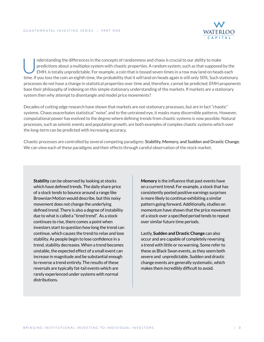

Inderstanding the differences in the concepts of randomness and chaos is crucial to our ability to make<br>predictions about a multiplex system with chaotic properties. A random system, such as that supposed<br>EMH, is totally u predictions about a multiplex system with chaotic properties. A random system, such as that supposed by the EMH, is totally unpredictable. For example, a coin that is tossed seven times in a row may land on heads each time. If you toss the coin an eighth time, the probability that it will land on heads again is still only 50%. Such stationary processes do not have a change in statistical properties over time and, therefore, cannot be predicted. EMH proponents base their philosophy of indexing on this simple stationary understanding of the markets. If markets are a stationary system then why attempt to disentangle and model price movements?

Decades of cutting edge research have shown that markets are not stationary processes, but are in fact "chaotic" systems. Chaos exacerbates statistical "noise", and to the untrained eye, it masks many discernible patterns. However, computational power has evolved to the degree where defining trends from chaotic systems is now possible. Natural processes, such as seismic events and population growth, are both examples of complex chaotic systems which over the long-term can be predicted with increasing accuracy.

Chaotic processes are controlled by several competing paradigms: **Stability, Memory, and Sudden and Drastic Change**. We can view each of these paradigms and their effects through careful observation of the stock market.

**Stability** can be observed by looking at stocks which have defined trends. The daily share price of a stock tends to bounce around a range like Brownian Motion would describe, but this noisy movement does not change the underlying defined trend. There is also a degree of instability due to what is called a "tired trend". As a stock continues to rise, there comes a point when investors start to question how long the trend can continue, which causes the trend to relax and lose stability. As people begin to lose confidence in a trend, stability decreases. When a trend becomes unstable, the expected effect of a small event can increase in magnitude and be substantial enough to reverse a trend entirely. The results of these reversals are typically fat-tail events which are rarely experienced under systems with normal distributions.

**Memory** is the influence that past events have on a current trend. For example, a stock that has consistently posted positive earnings surprises is more likely to continue exhibiting a similar pattern going forward. Additionally, studies on momentum have shown that the price movement of a stock over a specified period tends to repeat over similar future time periods.

Lastly, **Sudden and Drastic Change** can also occur and are capable of completely reversing a trend with little or no warning. Some refer to these as Black Swan events, as they seem both severe and unpredictable. Sudden and drastic change events are generally systematic, which makes them incredibly difficult to avoid.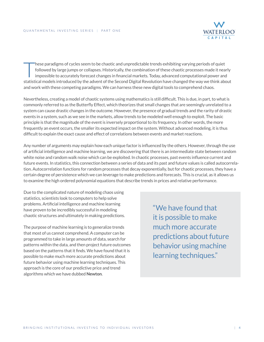

These paradigms of cycles seem to be chaotic and unpredictable trends exhibiting varying periods of quiet<br>
followed by large jumps or collapses. Historically, the combination of these chaotic processes made it nearl<br>
impos followed by large jumps or collapses. Historically, the combination of these chaotic processes made it nearly statistical models introduced by the advent of the Second Digital Revolution have changed the way we think about and work with these competing paradigms. We can harness these new digital tools to comprehend chaos.

Nevertheless, creating a model of chaotic systems using mathematics is still difficult. This is due, in part, to what is commonly referred to as the Butterfly Effect, which theorizes that small changes that are seemingly unrelated to a system can cause drastic changes in the outcome. However, the presence of gradual trends and the rarity of drastic events in a system, such as we see in the markets, allow trends to be modeled well enough to exploit. The basic principle is that the magnitude of the event is inversely proportional to its frequency. In other words, the more frequently an event occurs, the smaller its expected impact on the system. Without advanced modeling, it is thus difficult to explain the exact cause and effect of correlations between events and market reactions.

Any number of arguments may explain how each unique factor is influenced by the others. However, through the use of artificial intelligence and machine learning, we are discovering that there is an intermediate state between random white noise and random walk noise which can be exploited. In chaotic processes, past events influence current and future events. In statistics, this connection between a series of data and its past and future values is called autocorrelation. Autocorrelation functions for random processes that decay exponentially, but for chaotic processes, they have a certain degree of persistence which we can leverage to make predictions and forecasts. This is crucial, as it allows us to examine the high ordered polynomial equations that describe trends in prices and relative performance.

Due to the complicated nature of modeling chaos using statistics, scientists look to computers to help solve problems. Artificial intelligence and machine learning have proven to be incredibly successful in modeling chaotic structures and ultimately in making predictions.

The purpose of machine learning is to generalize trends that most of us cannot comprehend. A computer can be programmed to take in large amounts of data, search for patterns within the data, and then project future outcomes based on the patterns that it finds. We have found that it is possible to make much more accurate predictions about future behavior using machine learning techniques. This approach is the core of our predictive price and trend algorithms which we have dubbed **Newton**.

"We have found that it is possible to make much more accurate predictions about future behavior using machine learning techniques."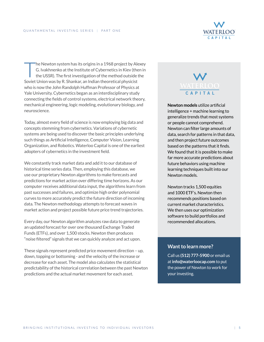

The Newton system has its origins in a 1968 project by Alexey G. Ivakhnenko at the Institute of Cybernetics in Kiev (then in the USSR). The first investigation of the method outside the Soviet Union was by R. Shankar, an Indian theoretical physicist who is now the John Randolph Huffman Professor of Physics at Yale University. Cybernetics began as an interdisciplinary study connecting the fields of control systems, electrical network theory, mechanical engineering, logic modeling, evolutionary biology, and neuroscience.

Today, almost every field of science is now employing big data and concepts stemming from cybernetics. Variations of cybernetic systems are being used to discover the basic principles underlying such things as Artificial Intelligence, Computer Vision, Learning Organization, and Robotics. Waterloo Capital is one of the earliest adopters of cybernetics in the investment field.

We constantly track market data and add it to our database of historical time series data. Then, employing this database, we use our proprietary Newton algorithms to make forecasts and predictions for market action over differing time horizons. As our computer receives additional data input, the algorithms learn from past successes and failures, and optimize high order polynomial curves to more accurately predict the future direction of incoming data. The Newton methodology attempts to forecast waves in market action and project possible future price trend trajectories.

Every day, our Newton algorithm analyzes raw data to generate an updated forecast for over one thousand Exchange Traded Funds (ETFs), and over 1,500 stocks. Newton then produces "noise filtered" signals that we can quickly analyze and act upon.

These signals represent predicted price movement direction – up, down, topping or bottoming - and the velocity of the increase or decrease for each asset. The model also calculates the statistical predictability of the historical correlation between the past Newton predictions and the actual market movement for each asset.

# **CAPITAL**

**Newton models** utilize artificial intelligence + machine learning to generalize trends that most systems or people cannot comprehend. Newton can filter large amounts of data, search for patterns in that data, and then project future outcomes based on the patterns that it finds. We found that it is possible to make far more accurate predictions about future behaviors using machine learning techniques built into our Newton models.

Newton tracks 1,500 equities and 1000 ETF's. Newton then recommends positions based on current market characteristics. We then uses our optimization software to build portfolios and recommended allocations.

#### **Want to learn more?**

Call us **(512) 777-5900** or email us at **info@waterloocap.com** to put the power of Newton to work for your investing.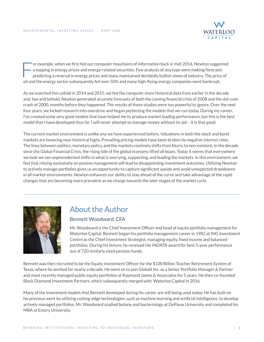

or example, when we first fed our computer mountains of information back in mid-2014, Newton suggested a topping in energy prices and energy-related securities. Few analysts of any type were making forecasts predicting a reversal in energy prices and many maintained decidedly bullish views of industry. The price of oil and the energy sector subsequently fell over 50% and many high-flying energy companies went bankrupt.

As we watched this unfold in 2014 and 2015, we fed the computer more historical data from earlier in the decade and, low and behold, Newton generated accurate forecasts of both the coming financial crisis of 2008 and the dot-com crash of 2000, months before they happened. The results of these studies were too powerful to ignore. Over the next four years, we kicked research into overdrive and began perfecting the models that we run today. During my career, I've created some very good models that have helped me to produce market leading performance, but this is the best model that I have developed thus far. I will never attempt to manage money without its aid – it is that good.

The current market environment is unlike any we have experienced before. Valuations in both the stock and bond markets are hovering near historical highs. Prevailing pricing models have been broken by negative interest rates. The lines between politics, monetary policy, and the markets routinely shifts from blurry to non-existent. In the decade since the Global Financial Crisis, the rising tide of the global economy lifted all boats. Today it seems that everywhere we look we see unprecedented shifts in what is worrying, supporting, and leading the markets. In this environment, we feel that relying exclusively on passive management will lead to disappointing investment outcomes. Utilizing Newton to actively manage portfolios gives us an opportunity to capture significant upside and avoid unexpected drawdowns in all market environments. Newton enhances our ability to stay ahead of the curve and take advantage of the rapid changes that are becoming more prevalent as we charge towards the later stages of the market cycle.



## About the Author

#### Bennett Woodward, CFA

Mr. Woodward is the Chief Investment Officer and head of equity portfolio management for Waterloo Capital. Bennett began his portfolio management career in 1982 at ING Investment Centre as the Chief Investment Strategist, managing equity, fixed income and balanced portfolios. During his tenure, he received the INDATA award for best 5-year performance out of 720 similarly sized pension funds.

Bennett was then recruited to be the Equity Investment Officer for the \$100 Billion Teacher Retirement System of Texas, where he worked for nearly a decade. He went on to join Globalt Inc. as a Senior Portfolio Manager & Partner and most recently managed public equity portfolios at Raymond James & Associates for 5 years. He then co-founded Black Diamond Investment Partners, which subsequently merged with Waterloo Capital in 2016.

Many of the investment models that Bennett developed during his career are still being used today. He has built on his previous work by utilizing cutting-edge technologies, such as machine learning and artificial intelligence, to develop actively managed portfolios. Mr. Woodward studied botany and bacteriology at DePauw University and completed his MBA at Emory University. 2700 Via Fortuna #100, Austin, TX 78746 • (512) 777-5900 • **www.WaterlooCap.com**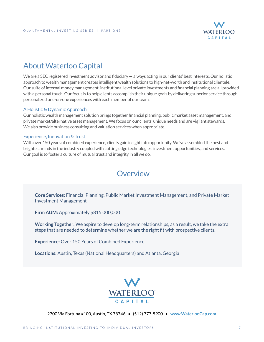

# About Waterloo Capital

We are a SEC registered investment advisor and fiduciary – always acting in our clients' best interests. Our holistic approach to wealth management creates intelligent wealth solutions to high-net-worth and institutional clientele. Our suite of internal money management, institutional level private investments and financial planning are all provided with a personal touch. Our focus is to help clients accomplish their unique goals by delivering superior service through personalized one-on-one experiences with each member of our team.

#### A Holistic & Dynamic Approach

Our holistic wealth management solution brings together financial planning, public market asset management, and private market/alternative asset management. We focus on our clients' unique needs and are vigilant stewards. We also provide business consulting and valuation services when appropriate.

#### Experience, Innovation & Trust

With over 150 years of combined experience, clients gain insight into opportunity. We've assembled the best and brightest minds in the industry coupled with cutting edge technologies, investment opportunities, and services. Our goal is to foster a culture of mutual trust and integrity in all we do.

## **Overview**

**Core Services:** Financial Planning, Public Market Investment Management, and Private Market Investment Management

**Firm AUM: Approximately \$815,000,000** 

**Working Together:** We aspire to develop long-term relationships, as a result, we take the extra steps that are needed to determine whether we are the right fit with prospective clients.

**Experience:** Over 150 Years of Combined Experience

**Locations:** Austin, Texas (National Headquarters) and Atlanta, Georgia



2700 Via Fortuna #100, Austin, TX 78746 • (512) 777-5900 • **www.WaterlooCap.com**